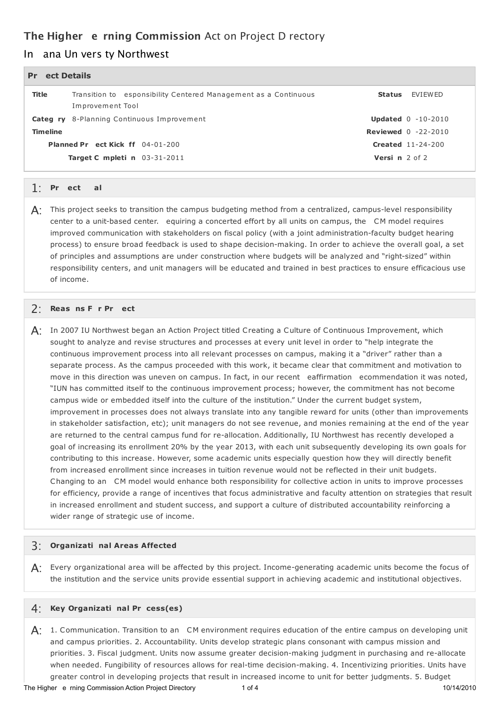# **The Higher e rning Commission** Act on Project D rectory

# In ana Un vers ty Northwest

| ect Details<br><b>Pr</b> |                                                                                     |                                |                                |
|--------------------------|-------------------------------------------------------------------------------------|--------------------------------|--------------------------------|
| <b>Title</b>             | Transition to esponsibility Centered Management as a Continuous<br>Improvement Tool |                                | Status FVIFWFD                 |
|                          | Categ ry 8-Planning Continuous Improvement                                          |                                | <b>Updated</b> $0 - 10 - 2010$ |
| <b>Timeline</b>          |                                                                                     | <b>Reviewed</b> $0 -22 - 2010$ |                                |
|                          | Planned Pr ect Kick ff 04-01-200                                                    | <b>Created</b> 11-24-200       |                                |
|                          | <b>Target C mpleti n</b> 03-31-2011                                                 | <b>Versi n</b> $2$ of $2$      |                                |

# **oj Go** 1: **Pr ect al**

 ${\sf A}$ : This project seeks to transition the campus budgeting method from a centralized, campus-level responsibility center to a unit-based center. equiring a concerted effort by all units on campus, the CM model requires improved communication with stakeholders on fiscal policy (with a joint administration-faculty budget hearing process) to ensure broad feedback is used to shape decision-making. In order to achieve the overall goal, a set of principles and assumptions are under construction where budgets will be analyzed and "right-sized" within responsibility centers, and unit managers will be educated and trained in best practices to ensure efficacious use of income.

## **o o oj** 2: **Reas ns F r Pr ect**

 ${\sf A}$ : In 2007 IU Northwest began an Action Project titled Creating a Culture of Continuous Improvement, which sought to analyze and revise structures and processes at every unit level in order to "help integrate the continuous improvement process into all relevant processes on campus, making it a "driver" rather than a separate process. As the campus proceeded with this work, it became clear that commitment and motivation to move in this direction was uneven on campus. In fact, in our recent eaffirmation ecommendation it was noted, "IUN has committed itself to the continuous improvement process; however, the commitment has not become campus wide or embedded itself into the culture of the institution." Under the current budget system, improvement in processes does not always translate into any tangible reward for units (other than improvements in stakeholder satisfaction, etc); unit managers do not see revenue, and monies remaining at the end of the year are returned to the central campus fund for re-allocation. Additionally, IU Northwest has recently developed a goal of increasing its enrollment 20% by the year 2013, with each unit subsequently developing its own goals for contributing to this increase. However, some academic units especially question how they will directly benefit from increased enrollment since increases in tuition revenue would not be reflected in their unit budgets. Changing to an CM model would enhance both responsibility for collective action in units to improve processes for efficiency, provide a range of incentives that focus administrative and faculty attention on strategies that result in increased enrollment and student success, and support a culture of distributed accountability reinforcing a wider range of strategic use of income.

## **o** 3: **Organizati nal Areas Affected**

 ${\sf A}$ : Every organizational area will be affected by this project. Income-generating academic units become the focus of the institution and the service units provide essential support in achieving academic and institutional objectives.

## **o o** 4: **Key Organizati nal Pr cess(es)**

 $\mathsf{A}$ : 1. Communication. Transition to an  $\,$  CM environment requires education of the entire campus on developing unit and campus priorities. 2. Accountability. Units develop strategic plans consonant with campus mission and priorities. 3. Fiscal judgment. Units now assume greater decision-making judgment in purchasing and re-allocate when needed. Fungibility of resources allows for real-time decision-making. 4. Incentivizing priorities. Units have greater control in developing projects that result in increased income to unit for better judgments. 5. Budget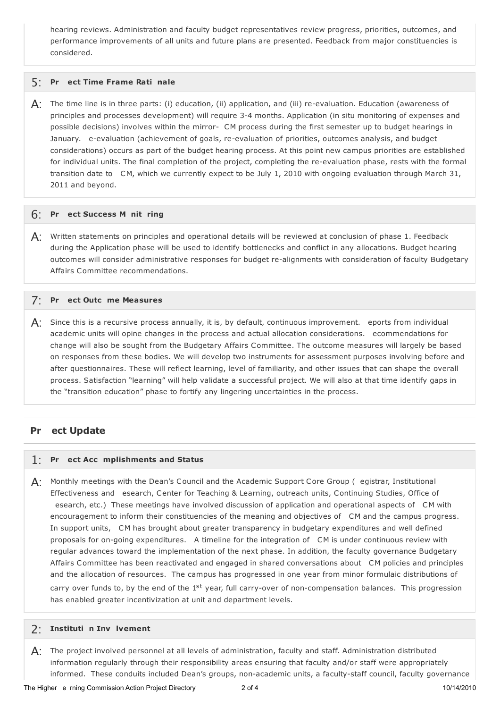hearing reviews. Administration and faculty budget representatives review progress, priorities, outcomes, and performance improvements of all units and future plans are presented. Feedback from major constituencies is considered.

## **oj o** 5: **Pr ect Time Frame Rati nale**

 $\bm{\mathsf{A}}$ : The time line is in three parts: (i) education, (ii) application, and (iii) re-evaluation. Education (awareness of principles and processes development) will require 3-4 months. Application (in situ monitoring of expenses and possible decisions) involves within the mirror- CM process during the first semester up to budget hearings in January. e-evaluation (achievement of goals, re-evaluation of priorities, outcomes analysis, and budget considerations) occurs as part of the budget hearing process. At this point new campus priorities are established for individual units. The final completion of the project, completing the re-evaluation phase, rests with the formal transition date to CM, which we currently expect to be July 1, 2010 with ongoing evaluation through March 31, 2011 and beyond.

## **oj o o** 6: **Pr ect Success M nit ring**

 $\mathsf{A}$ : Written statements on principles and operational details will be reviewed at conclusion of phase 1. Feedback during the Application phase will be used to identify bottlenecks and conflict in any allocations. Budget hearing outcomes will consider administrative responses for budget re-alignments with consideration of faculty Budgetary Affairs Committee recommendations.

## **oj o** 7: **Pr ect Outc me Measures**

 $\mathsf{A}$ : Since this is a recursive process annually, it is, by default, continuous improvement. eports from individual academic units will opine changes in the process and actual allocation considerations. ecommendations for change will also be sought from the Budgetary Affairs C ommittee. The outcome measures will largely be based on responses from these bodies. We will develop two instruments for assessment purposes involving before and after questionnaires. These will reflect learning, level of familiarity, and other issues that can shape the overall process. Satisfaction "learning" will help validate a successful project. We will also at that time identify gaps in the "transition education" phase to fortify any lingering uncertainties in the process.

#### **oj Pr ect Update**

# **oj o** 1: **Pr ect Acc mplishments and Status**

 ${\sf A}$ : Monthly meetings with the Dean's Council and the Academic Support Core Group (egistrar, Institutional Effectiveness and esearch, Center for Teaching & Learning, outreach units, Continuing Studies, Office of esearch, etc.) These meetings have involved discussion of application and operational aspects of CM with encouragement to inform their constituencies of the meaning and objectives of CM and the campus progress. In support units, CM has brought about greater transparency in budgetary expenditures and well defined proposals for on-going expenditures. A timeline for the integration of CM is under continuous review with regular advances toward the implementation of the next phase. In addition, the faculty governance Budgetary R Affairs C ommittee has been reactivated and engaged in shared conversations about CM policies and principles and the allocation of resources. The campus has progressed in one year from minor formulaic distributions of carry over funds to, by the end of the 1<sup>st</sup> year, full carry-over of non-compensation balances. This progression has enabled greater incentivization at unit and department levels.

## **o o** 2: **Instituti n Inv lvement**

 ${\sf A}$ : The project involved personnel at all levels of administration, faculty and staff. Administration distributed information regularly through their responsibility areas ensuring that faculty and/or staff were appropriately informed. These conduits included Dean's groups, non-academic units, a faculty-staff council, faculty governance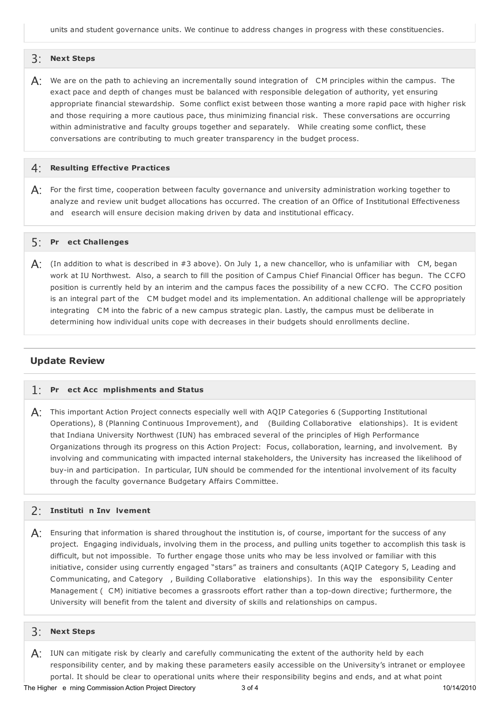units and student governance units. We continue to address changes in progress with these constituencies.

#### 3: **Next Steps**

 $\mathsf{A}$ : We are on the path to achieving an incrementally sound integration of  $\,$  CM principles within the campus. The exact pace and depth of changes must be balanced with responsible delegation of authority, yet ensuring appropriate financial stewardship. Some conflict exist between those wanting a more rapid pace with higher risk and those requiring a more cautious pace, thus minimizing financial risk. These conversations are occurring within administrative and faculty groups together and separately. While creating some conflict, these conversations are contributing to much greater transparency in the budget process.

#### 4: **Resulting Effective Practices**

 ${\sf A}$ : For the first time, cooperation between faculty governance and university administration working together to analyze and review unit budget allocations has occurred. The creation of an Office of Institutional Effectiveness and esearch will ensure decision making driven by data and institutional efficacy.

## **oj** 5: **Pr ect Challenges**

 $\mathsf{A}$ : (In addition to what is described in #3 above). On July 1, a new chancellor, who is unfamiliar with  $\,$  CM, began work at IU Northwest. Also, a search to fill the position of Campus Chief Financial Officer has begun. The CCFO position is currently held by an interim and the campus faces the possibility of a new CCFO. The CCFO position is an integral part of the CM budget model and its implementation. An additional challenge will be appropriately integrating CM into the fabric of a new campus strategic plan. Lastly, the campus must be deliberate in determining how individual units cope with decreases in their budgets should enrollments decline.

#### **Update Review**

## **oj o** 1: **Pr ect Acc mplishments and Status**

 $\bm{\mathsf{A}}$ : This important Action Project connects especially well with AQIP Categories 6 (Supporting Institutional Operations), 8 (Planning Continuous Improvement), and (Building Collaborative elationships). It is evident that Indiana University Northwest (IUN) has embraced several of the principles of High Performance Organizations through its progress on this Action Project: Focus, collaboration, learning, and involvement. By involving and communicating with impacted internal stakeholders, the University has increased the likelihood of buy-in and participation. In particular, IUN should be commended for the intentional involvement of its faculty through the faculty governance Budgetary Affairs Committee.

## **o o** 2: **Instituti n Inv lvement**

 $\bm{\mathsf{A}}$ : Ensuring that information is shared throughout the institution is, of course, important for the success of any project. Engaging individuals, involving them in the process, and pulling units together to accomplish this task is difficult, but not impossible. To further engage those units who may be less involved or familiar with this initiative, consider using currently engaged "stars" as trainers and consultants (AQIP Category 5, Leading and Communicating, and Category , Building Collaborative elationships). In this way the esponsibility Center Management ( CM) initiative becomes a grassroots effort rather than a top-down directive; furthermore, the University will benefit from the talent and diversity of skills and relationships on campus.

#### 3: **Next Steps**

 $\bigwedge$ : IUN can mitigate risk by clearly and carefully communicating the extent of the authority held by each responsibility center, and by making these parameters easily accessible on the University's intranet or employee portal. It should be clear to operational units where their responsibility begins and ends, and at what point